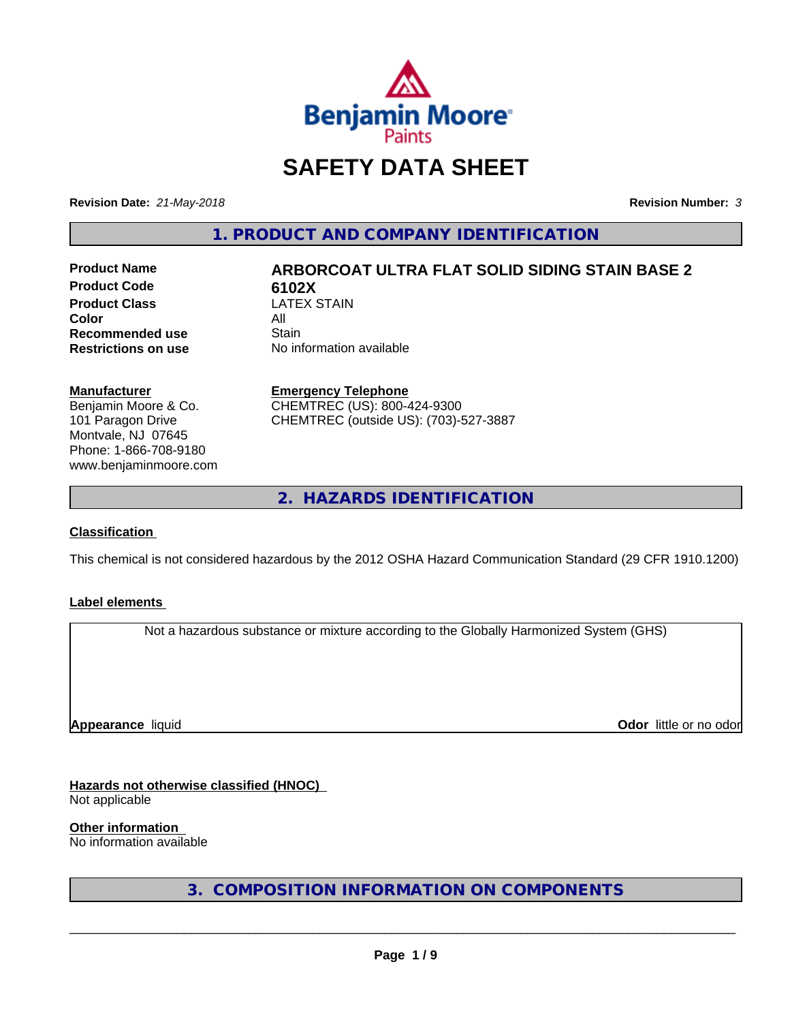

# **SAFETY DATA SHEET**

**Revision Date:** *21-May-2018* **Revision Number:** *3*

**1. PRODUCT AND COMPANY IDENTIFICATION**

**Product Code 6102X**<br>**Product Class 6102X Product Class** LA<br>**Color** All **Color** All **Recommended use Stain<br>
<b>Restrictions on use** No inf

# **Product Name ARBORCOAT ULTRA FLAT SOLID SIDING STAIN BASE 2**

**No information available** 

#### **Manufacturer**

Benjamin Moore & Co. 101 Paragon Drive Montvale, NJ 07645 Phone: 1-866-708-9180 www.benjaminmoore.com

#### **Emergency Telephone**

CHEMTREC (US): 800-424-9300 CHEMTREC (outside US): (703)-527-3887

**2. HAZARDS IDENTIFICATION**

#### **Classification**

This chemical is not considered hazardous by the 2012 OSHA Hazard Communication Standard (29 CFR 1910.1200)

#### **Label elements**

Not a hazardous substance or mixture according to the Globally Harmonized System (GHS)

**Appearance** liquid

**Odor** little or no odor

# **Hazards not otherwise classified (HNOC)**

Not applicable

**Other information**

No information available

**3. COMPOSITION INFORMATION ON COMPONENTS**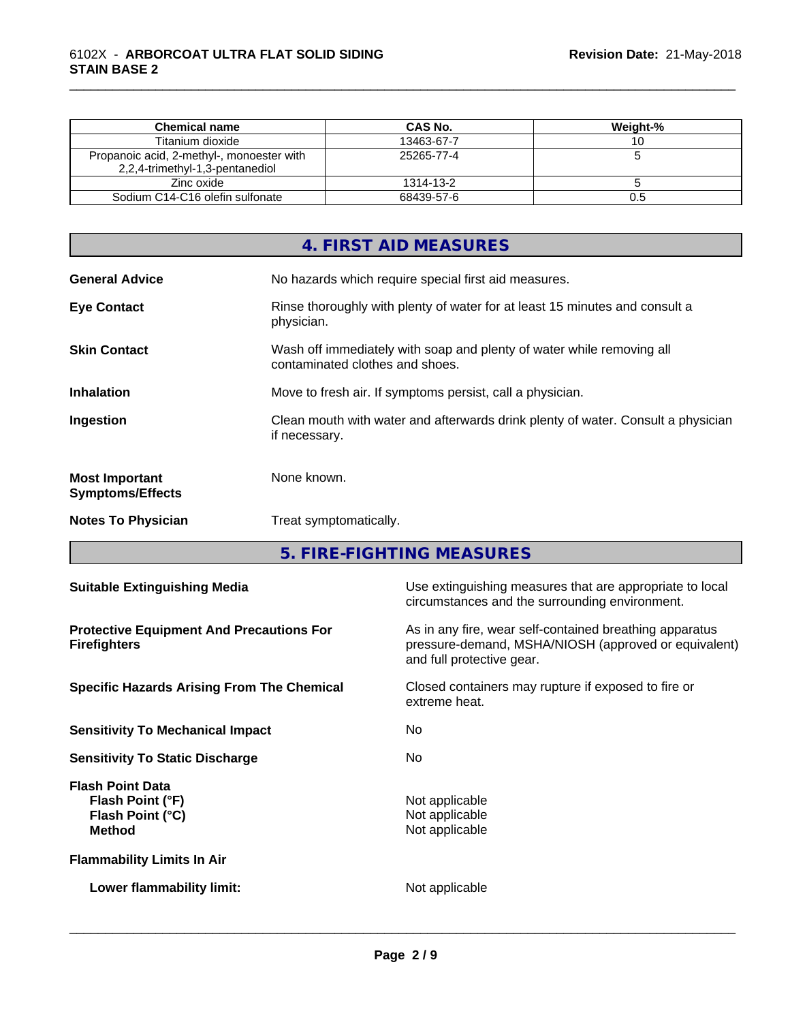| Chemical name                                                                | CAS No.    | Weight-% |
|------------------------------------------------------------------------------|------------|----------|
| Titanium dioxide                                                             | 13463-67-7 |          |
| Propanoic acid, 2-methyl-, monoester with<br>2,2,4-trimethyl-1,3-pentanediol | 25265-77-4 |          |
| Zinc oxide                                                                   | 1314-13-2  |          |
| Sodium C14-C16 olefin sulfonate                                              | 68439-57-6 | U.5      |

\_\_\_\_\_\_\_\_\_\_\_\_\_\_\_\_\_\_\_\_\_\_\_\_\_\_\_\_\_\_\_\_\_\_\_\_\_\_\_\_\_\_\_\_\_\_\_\_\_\_\_\_\_\_\_\_\_\_\_\_\_\_\_\_\_\_\_\_\_\_\_\_\_\_\_\_\_\_\_\_\_\_\_\_\_\_\_\_\_\_\_\_\_

|                                                  | 4. FIRST AID MEASURES                                                                                    |
|--------------------------------------------------|----------------------------------------------------------------------------------------------------------|
| <b>General Advice</b>                            | No hazards which require special first aid measures.                                                     |
| <b>Eye Contact</b>                               | Rinse thoroughly with plenty of water for at least 15 minutes and consult a<br>physician.                |
| <b>Skin Contact</b>                              | Wash off immediately with soap and plenty of water while removing all<br>contaminated clothes and shoes. |
| <b>Inhalation</b>                                | Move to fresh air. If symptoms persist, call a physician.                                                |
| Ingestion                                        | Clean mouth with water and afterwards drink plenty of water. Consult a physician<br>if necessary.        |
| <b>Most Important</b><br><b>Symptoms/Effects</b> | None known.                                                                                              |
| <b>Notes To Physician</b>                        | Treat symptomatically.                                                                                   |

**5. FIRE-FIGHTING MEASURES**

| <b>Suitable Extinguishing Media</b>                                              | Use extinguishing measures that are appropriate to local<br>circumstances and the surrounding environment.                                   |  |  |
|----------------------------------------------------------------------------------|----------------------------------------------------------------------------------------------------------------------------------------------|--|--|
| <b>Protective Equipment And Precautions For</b><br><b>Firefighters</b>           | As in any fire, wear self-contained breathing apparatus<br>pressure-demand, MSHA/NIOSH (approved or equivalent)<br>and full protective gear. |  |  |
| <b>Specific Hazards Arising From The Chemical</b>                                | Closed containers may rupture if exposed to fire or<br>extreme heat.                                                                         |  |  |
| <b>Sensitivity To Mechanical Impact</b>                                          | No.                                                                                                                                          |  |  |
| <b>Sensitivity To Static Discharge</b>                                           | No.                                                                                                                                          |  |  |
| <b>Flash Point Data</b><br>Flash Point (°F)<br>Flash Point (°C)<br><b>Method</b> | Not applicable<br>Not applicable<br>Not applicable                                                                                           |  |  |
| <b>Flammability Limits In Air</b>                                                |                                                                                                                                              |  |  |
| Lower flammability limit:                                                        | Not applicable                                                                                                                               |  |  |
|                                                                                  |                                                                                                                                              |  |  |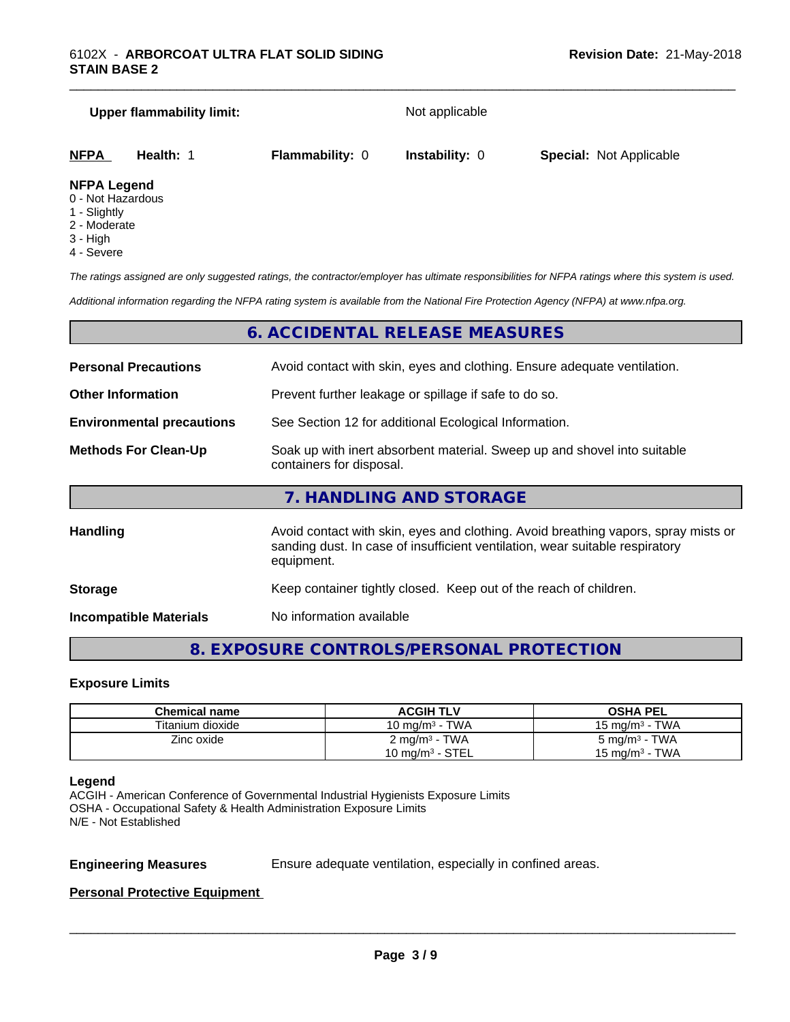# **Upper flammability limit:** Not applicable **NFPA Health:** 1 **Flammability:** 0 **Instability:** 0 **Special:** Not Applicable

\_\_\_\_\_\_\_\_\_\_\_\_\_\_\_\_\_\_\_\_\_\_\_\_\_\_\_\_\_\_\_\_\_\_\_\_\_\_\_\_\_\_\_\_\_\_\_\_\_\_\_\_\_\_\_\_\_\_\_\_\_\_\_\_\_\_\_\_\_\_\_\_\_\_\_\_\_\_\_\_\_\_\_\_\_\_\_\_\_\_\_\_\_

#### **NFPA Legend**

- 0 Not Hazardous
- 1 Slightly
- 2 Moderate
- 3 High
- 4 Severe

*The ratings assigned are only suggested ratings, the contractor/employer has ultimate responsibilities for NFPA ratings where this system is used.*

*Additional information regarding the NFPA rating system is available from the National Fire Protection Agency (NFPA) at www.nfpa.org.*

# **6. ACCIDENTAL RELEASE MEASURES**

| <b>Personal Precautions</b><br>Avoid contact with skin, eyes and clothing. Ensure adequate ventilation.                             |                                                                                                                                                                                  |
|-------------------------------------------------------------------------------------------------------------------------------------|----------------------------------------------------------------------------------------------------------------------------------------------------------------------------------|
| <b>Other Information</b>                                                                                                            | Prevent further leakage or spillage if safe to do so.                                                                                                                            |
| <b>Environmental precautions</b>                                                                                                    | See Section 12 for additional Ecological Information.                                                                                                                            |
| Soak up with inert absorbent material. Sweep up and shovel into suitable<br><b>Methods For Clean-Up</b><br>containers for disposal. |                                                                                                                                                                                  |
|                                                                                                                                     | 7. HANDLING AND STORAGE                                                                                                                                                          |
| <b>Handling</b>                                                                                                                     | Avoid contact with skin, eyes and clothing. Avoid breathing vapors, spray mists or<br>sanding dust. In case of insufficient ventilation, wear suitable respiratory<br>equipment. |
| <b>Storage</b>                                                                                                                      | Keep container tightly closed. Keep out of the reach of children.                                                                                                                |
|                                                                                                                                     |                                                                                                                                                                                  |

**Incompatible Materials** No information available

# **8. EXPOSURE CONTROLS/PERSONAL PROTECTION**

#### **Exposure Limits**

| Chemical name    | <b>ACGIH TLV</b>           | <b>OSHA PEL</b>           |
|------------------|----------------------------|---------------------------|
| Titanium dioxide | 10 mg/m $3$ - TWA          | 15 mg/m $3$ - TWA         |
| Zinc oxide       | $2 \text{ mg/m}^3$ - TWA   | 5 mg/m <sup>3</sup> - TWA |
|                  | $10 \text{ mg/m}^3$ - STEL | 15 mg/m $3$ - TWA         |

#### **Legend**

ACGIH - American Conference of Governmental Industrial Hygienists Exposure Limits OSHA - Occupational Safety & Health Administration Exposure Limits N/E - Not Established

**Engineering Measures** Ensure adequate ventilation, especially in confined areas.

 $\overline{\phantom{a}}$  ,  $\overline{\phantom{a}}$  ,  $\overline{\phantom{a}}$  ,  $\overline{\phantom{a}}$  ,  $\overline{\phantom{a}}$  ,  $\overline{\phantom{a}}$  ,  $\overline{\phantom{a}}$  ,  $\overline{\phantom{a}}$  ,  $\overline{\phantom{a}}$  ,  $\overline{\phantom{a}}$  ,  $\overline{\phantom{a}}$  ,  $\overline{\phantom{a}}$  ,  $\overline{\phantom{a}}$  ,  $\overline{\phantom{a}}$  ,  $\overline{\phantom{a}}$  ,  $\overline{\phantom{a}}$ 

#### **Personal Protective Equipment**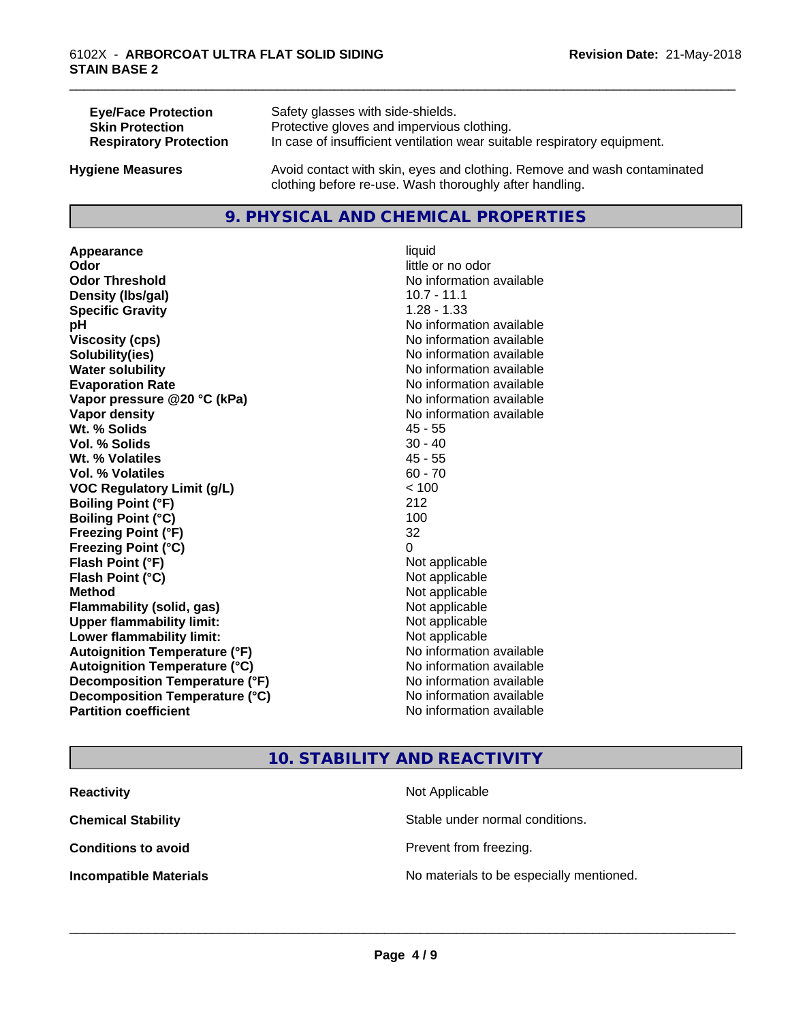| <b>Eye/Face Protection</b>    | Safety glasses with side-shields.                                        |
|-------------------------------|--------------------------------------------------------------------------|
| <b>Skin Protection</b>        | Protective gloves and impervious clothing.                               |
| <b>Respiratory Protection</b> | In case of insufficient ventilation wear suitable respiratory equipment. |
| <b>Hygiene Measures</b>       | Avoid contact with skin, eyes and clothing. Remove and wash contaminated |

### **9. PHYSICAL AND CHEMICAL PROPERTIES**

clothing before re-use. Wash thoroughly after handling.

**Appearance** liquid **Odor** little or no odor **Odor Threshold No information available No information available Density (Ibs/gal)** 10.7 - 11.1 **Specific Gravity** 1.28 - 1.33 **pH** No information available **Viscosity (cps)** No information available **Solubility(ies)** No information available **Water solubility Water solubility Water solubility Water solubility Water solubility Water solution Evaporation Rate No information available No information available Vapor pressure @20 °C (kPa)** No information available **Vapor density No information available Wt. % Solids** 45 - 55 **Vol. % Solids** 30 - 40 **Wt. % Volatiles** 45 - 55 **Vol. % Volatiles** 60 - 70 **VOC Regulatory Limit (g/L)** < 100 **Boiling Point (°F)** 212 **Boiling Point (°C)** 100 **Freezing Point (°F)** 32 **Freezing Point (°C)** 0 **Flash Point (°F)** Not applicable **Flash Point (°C)** Not applicable **Method** Not applicable **Flammability (solid, gas)** Not applicable **Upper flammability limit:** Not applicable **Lower flammability limit:** Not applicable **Autoignition Temperature (°F)** No information available **Autoignition Temperature (°C)** No information available **Decomposition Temperature (°F)** No information available **Decomposition Temperature (°C)** No information available<br> **Partition coefficient Partition available** 

**No information available** 

\_\_\_\_\_\_\_\_\_\_\_\_\_\_\_\_\_\_\_\_\_\_\_\_\_\_\_\_\_\_\_\_\_\_\_\_\_\_\_\_\_\_\_\_\_\_\_\_\_\_\_\_\_\_\_\_\_\_\_\_\_\_\_\_\_\_\_\_\_\_\_\_\_\_\_\_\_\_\_\_\_\_\_\_\_\_\_\_\_\_\_\_\_

# **10. STABILITY AND REACTIVITY**

| <b>Reactivity</b>             | Not Applicable                           |
|-------------------------------|------------------------------------------|
| <b>Chemical Stability</b>     | Stable under normal conditions.          |
| <b>Conditions to avoid</b>    | Prevent from freezing.                   |
| <b>Incompatible Materials</b> | No materials to be especially mentioned. |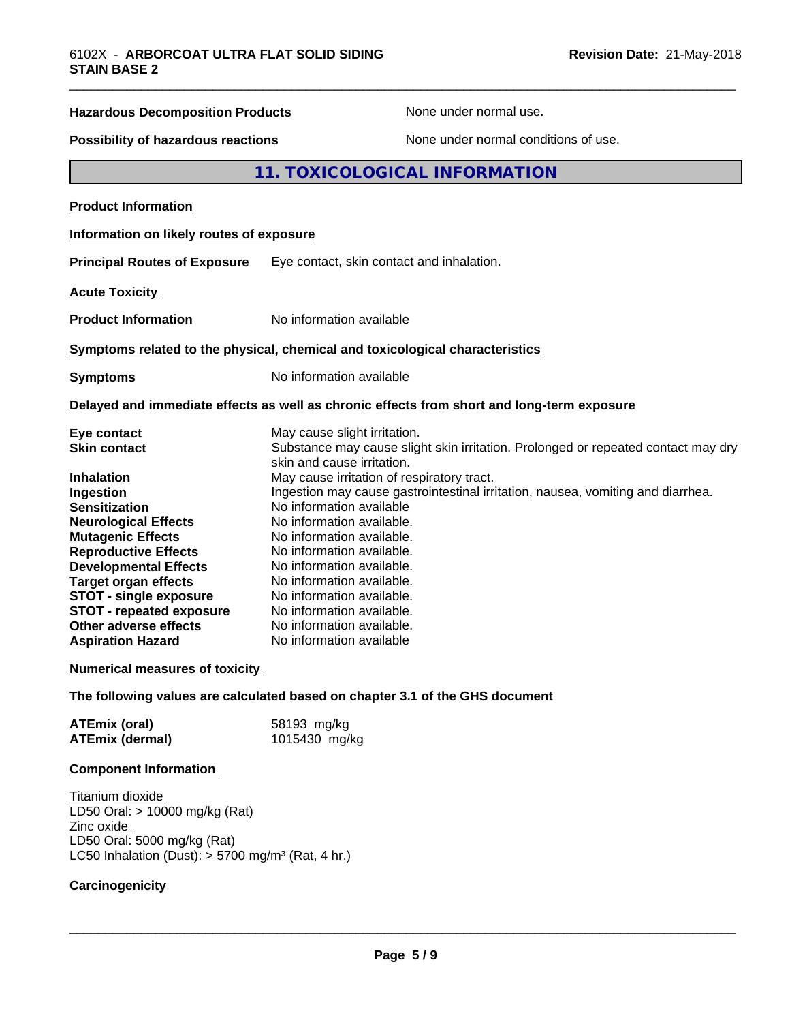| <b>Hazardous Decomposition Products</b>                                 | None under normal use.                                                                                                                                                                 |  |
|-------------------------------------------------------------------------|----------------------------------------------------------------------------------------------------------------------------------------------------------------------------------------|--|
| Possibility of hazardous reactions                                      | None under normal conditions of use.                                                                                                                                                   |  |
|                                                                         | 11. TOXICOLOGICAL INFORMATION                                                                                                                                                          |  |
| <b>Product Information</b>                                              |                                                                                                                                                                                        |  |
| Information on likely routes of exposure                                |                                                                                                                                                                                        |  |
| <b>Principal Routes of Exposure</b>                                     | Eye contact, skin contact and inhalation.                                                                                                                                              |  |
| <b>Acute Toxicity</b>                                                   |                                                                                                                                                                                        |  |
| <b>Product Information</b>                                              | No information available                                                                                                                                                               |  |
|                                                                         | Symptoms related to the physical, chemical and toxicological characteristics                                                                                                           |  |
| <b>Symptoms</b>                                                         | No information available                                                                                                                                                               |  |
|                                                                         | Delayed and immediate effects as well as chronic effects from short and long-term exposure                                                                                             |  |
| Eye contact<br>Skin contact                                             | May cause slight irritation.<br>Substance may cause slight skin irritation. Prolonged or repeated contact may dry<br>skin and cause irritation.                                        |  |
| Inhalation<br>Ingestion<br>Sensitization<br><b>Neurological Effects</b> | May cause irritation of respiratory tract.<br>Ingestion may cause gastrointestinal irritation, nausea, vomiting and diarrhea.<br>No information available<br>No information available. |  |

**Mutagenic Effects** No information available. **Reproductive Effects** No information available. **Developmental Effects** No information available.<br> **Target organ effects** No information available. No information available.<br>No information available. **STOT -** single exposure Mo information available.<br>**STOT** - repeated exposure No information available. **STOT** - repeated exposure<br>Other adverse effects No information available. **Aspiration Hazard** No information available

# **Numerical measures of toxicity**

**The following values are calculated based on chapter 3.1 of the GHS document**

| <b>ATEmix (oral)</b>   | 58193 mg/kg   |
|------------------------|---------------|
| <b>ATEmix (dermal)</b> | 1015430 mg/kg |

#### **Component Information**

Titanium dioxide LD50 Oral: > 10000 mg/kg (Rat) Zinc oxide LD50 Oral: 5000 mg/kg (Rat) LC50 Inhalation (Dust):  $> 5700$  mg/m<sup>3</sup> (Rat, 4 hr.)

# **Carcinogenicity**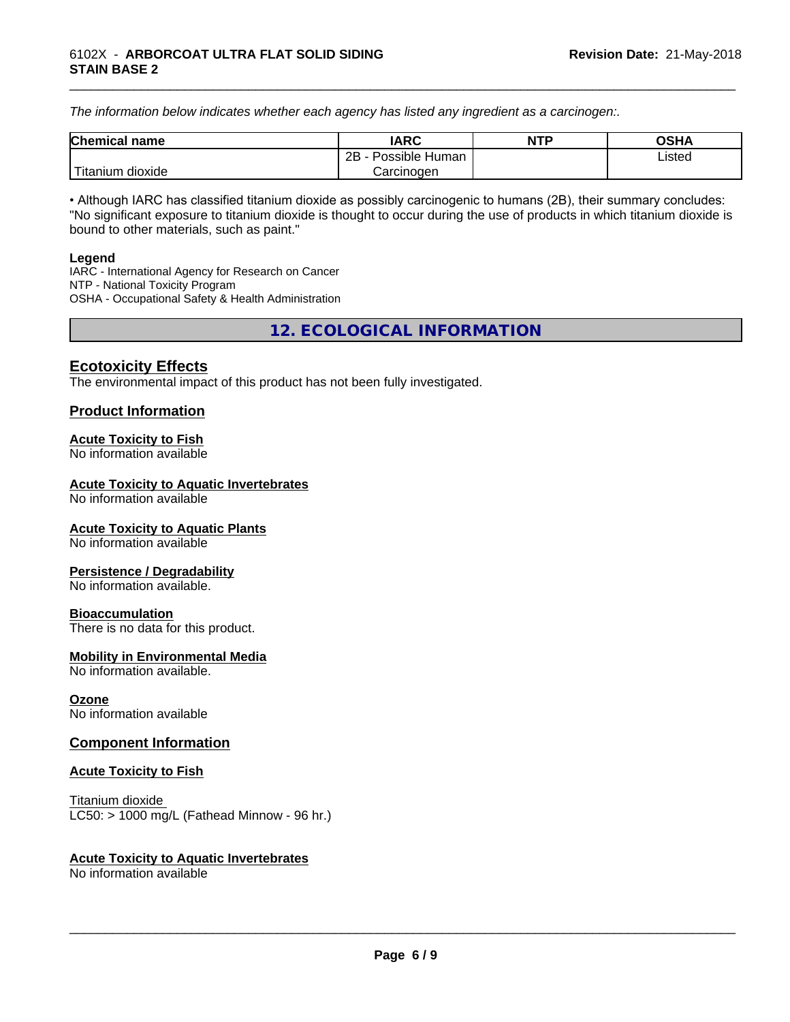*The information below indicateswhether each agency has listed any ingredient as a carcinogen:.*

| <b>Chemical</b><br>name | <b>IARC</b>                    | <b>NTP</b> | <b>OSHA</b> |
|-------------------------|--------------------------------|------------|-------------|
|                         | . .<br>2B<br>Possible<br>Human |            | Listed<br>. |
| dioxide<br>⊺itanium     | Carcinogen                     |            |             |

\_\_\_\_\_\_\_\_\_\_\_\_\_\_\_\_\_\_\_\_\_\_\_\_\_\_\_\_\_\_\_\_\_\_\_\_\_\_\_\_\_\_\_\_\_\_\_\_\_\_\_\_\_\_\_\_\_\_\_\_\_\_\_\_\_\_\_\_\_\_\_\_\_\_\_\_\_\_\_\_\_\_\_\_\_\_\_\_\_\_\_\_\_

• Although IARC has classified titanium dioxide as possibly carcinogenic to humans (2B), their summary concludes: "No significant exposure to titanium dioxide is thought to occur during the use of products in which titanium dioxide is bound to other materials, such as paint."

#### **Legend**

IARC - International Agency for Research on Cancer NTP - National Toxicity Program OSHA - Occupational Safety & Health Administration

**12. ECOLOGICAL INFORMATION**

## **Ecotoxicity Effects**

The environmental impact of this product has not been fully investigated.

## **Product Information**

#### **Acute Toxicity to Fish**

No information available

#### **Acute Toxicity to Aquatic Invertebrates**

No information available

#### **Acute Toxicity to Aquatic Plants**

No information available

#### **Persistence / Degradability**

No information available.

#### **Bioaccumulation**

There is no data for this product.

#### **Mobility in Environmental Media**

No information available.

#### **Ozone**

No information available

#### **Component Information**

#### **Acute Toxicity to Fish**

Titanium dioxide  $LC50:$  > 1000 mg/L (Fathead Minnow - 96 hr.)

#### **Acute Toxicity to Aquatic Invertebrates**

No information available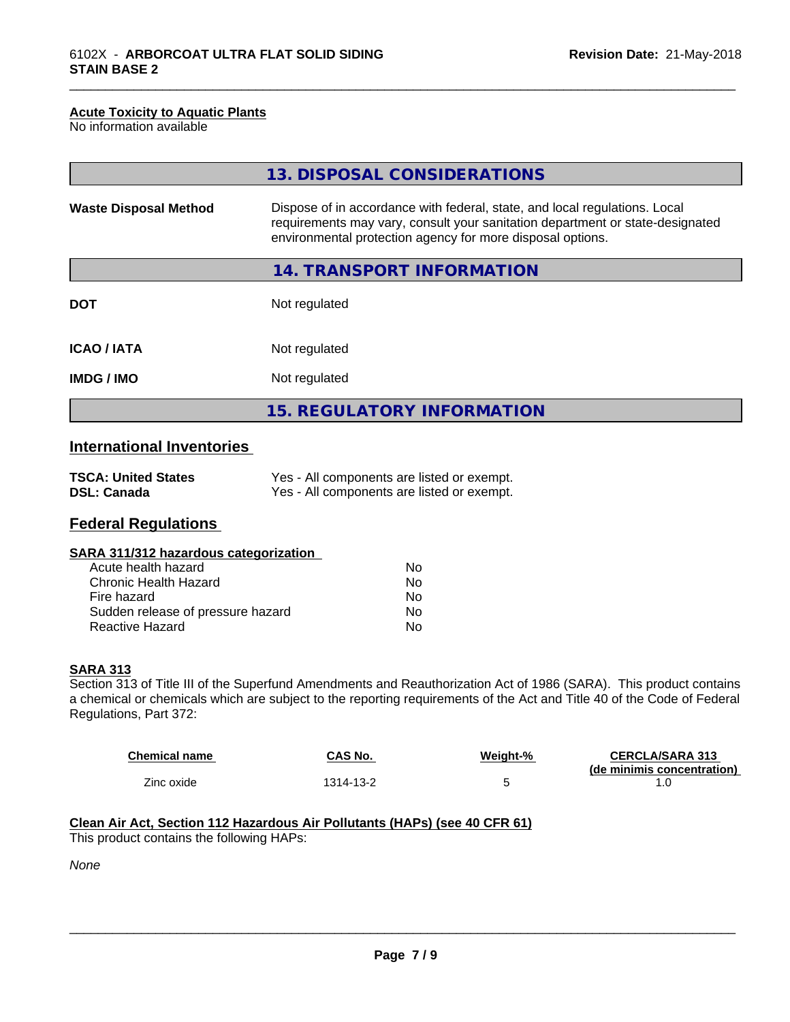#### **Acute Toxicity to Aquatic Plants**

No information available

|                              | 13. DISPOSAL CONSIDERATIONS                                                                                                                                                                                               |
|------------------------------|---------------------------------------------------------------------------------------------------------------------------------------------------------------------------------------------------------------------------|
| <b>Waste Disposal Method</b> | Dispose of in accordance with federal, state, and local regulations. Local<br>requirements may vary, consult your sanitation department or state-designated<br>environmental protection agency for more disposal options. |
|                              | 14. TRANSPORT INFORMATION                                                                                                                                                                                                 |
| <b>DOT</b>                   | Not regulated                                                                                                                                                                                                             |
| <b>ICAO/IATA</b>             | Not regulated                                                                                                                                                                                                             |
| <b>IMDG/IMO</b>              | Not regulated                                                                                                                                                                                                             |
|                              | 15. REGULATORY INFORMATION                                                                                                                                                                                                |

\_\_\_\_\_\_\_\_\_\_\_\_\_\_\_\_\_\_\_\_\_\_\_\_\_\_\_\_\_\_\_\_\_\_\_\_\_\_\_\_\_\_\_\_\_\_\_\_\_\_\_\_\_\_\_\_\_\_\_\_\_\_\_\_\_\_\_\_\_\_\_\_\_\_\_\_\_\_\_\_\_\_\_\_\_\_\_\_\_\_\_\_\_

# **International Inventories**

| <b>TSCA: United States</b> | Yes - All components are listed or exempt. |
|----------------------------|--------------------------------------------|
| <b>DSL: Canada</b>         | Yes - All components are listed or exempt. |

# **Federal Regulations**

|  | SARA 311/312 hazardous categorization |  |
|--|---------------------------------------|--|
|--|---------------------------------------|--|

| Acute health hazard               | N٥ |
|-----------------------------------|----|
| Chronic Health Hazard             | N٥ |
| Fire hazard                       | N٥ |
| Sudden release of pressure hazard | Nο |
| Reactive Hazard                   | N٥ |

#### **SARA 313**

Section 313 of Title III of the Superfund Amendments and Reauthorization Act of 1986 (SARA). This product contains a chemical or chemicals which are subject to the reporting requirements of the Act and Title 40 of the Code of Federal Regulations, Part 372:

| <b>Chemical name</b> | CAS No.   | Weiaht-% | <b>CERCLA/SARA 313</b><br>(de minimis concentration) |
|----------------------|-----------|----------|------------------------------------------------------|
| Zinc oxide           | 1314-13-2 |          | . . U                                                |

# **Clean Air Act,Section 112 Hazardous Air Pollutants (HAPs) (see 40 CFR 61)**

This product contains the following HAPs:

*None*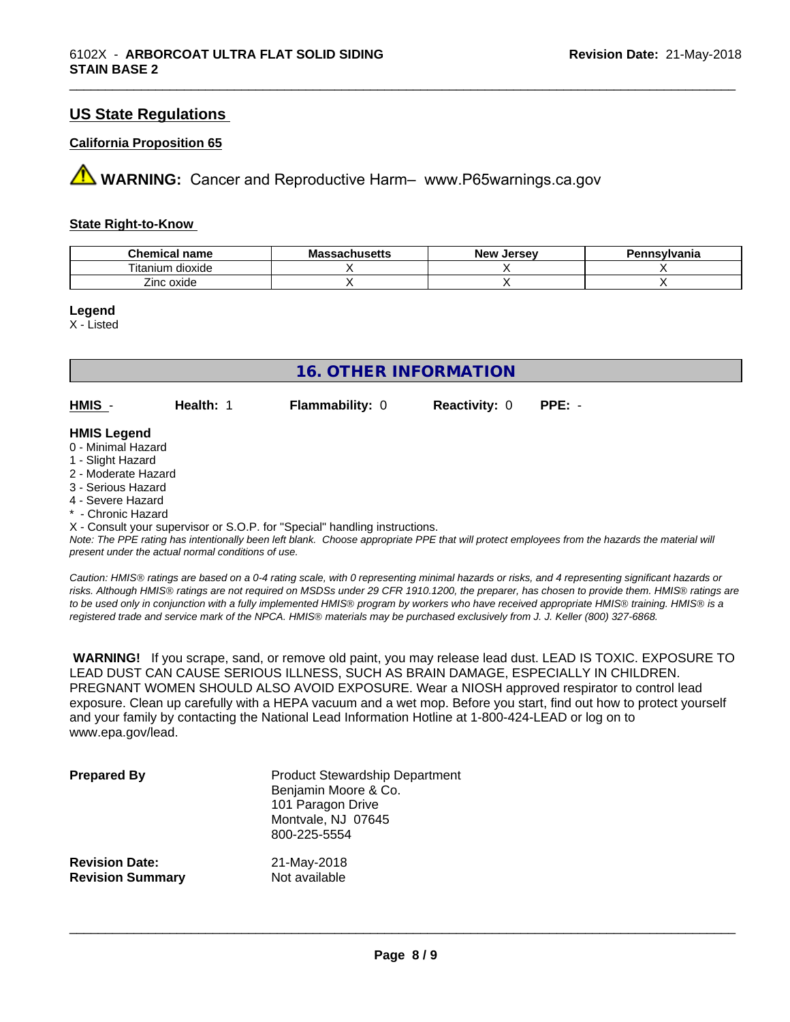# **US State Regulations**

#### **California Proposition 65**

**AVIMARNING:** Cancer and Reproductive Harm– www.P65warnings.ca.gov

#### **State Right-to-Know**

| <b>Chemical name</b>     | <b>Massachusetts</b> | . Jersev<br><b>N</b> OW<br>NGM | Pennsylvania |
|--------------------------|----------------------|--------------------------------|--------------|
| --<br>itanium<br>dioxide |                      |                                |              |
| Zinc oxide               |                      |                                |              |

\_\_\_\_\_\_\_\_\_\_\_\_\_\_\_\_\_\_\_\_\_\_\_\_\_\_\_\_\_\_\_\_\_\_\_\_\_\_\_\_\_\_\_\_\_\_\_\_\_\_\_\_\_\_\_\_\_\_\_\_\_\_\_\_\_\_\_\_\_\_\_\_\_\_\_\_\_\_\_\_\_\_\_\_\_\_\_\_\_\_\_\_\_

**Legend**

X - Listed

|                                          | <b>16. OTHER INFORMATION</b> |                        |                      |          |
|------------------------------------------|------------------------------|------------------------|----------------------|----------|
| $HMIS -$                                 | Health: 1                    | <b>Flammability: 0</b> | <b>Reactivity: 0</b> | $PPE: -$ |
| <b>HMIS Legend</b><br>0 - Minimal Hazard |                              |                        |                      |          |

#### 1 - Slight Hazard

- 2 Moderate Hazard
- 3 Serious Hazard
- 4 Severe Hazard
- \* Chronic Hazard

X - Consult your supervisor or S.O.P. for "Special" handling instructions.

*Note: The PPE rating has intentionally been left blank. Choose appropriate PPE that will protect employees from the hazards the material will present under the actual normal conditions of use.*

*Caution: HMISÒ ratings are based on a 0-4 rating scale, with 0 representing minimal hazards or risks, and 4 representing significant hazards or risks. Although HMISÒ ratings are not required on MSDSs under 29 CFR 1910.1200, the preparer, has chosen to provide them. HMISÒ ratings are to be used only in conjunction with a fully implemented HMISÒ program by workers who have received appropriate HMISÒ training. HMISÒ is a registered trade and service mark of the NPCA. HMISÒ materials may be purchased exclusively from J. J. Keller (800) 327-6868.*

 **WARNING!** If you scrape, sand, or remove old paint, you may release lead dust. LEAD IS TOXIC. EXPOSURE TO LEAD DUST CAN CAUSE SERIOUS ILLNESS, SUCH AS BRAIN DAMAGE, ESPECIALLY IN CHILDREN. PREGNANT WOMEN SHOULD ALSO AVOID EXPOSURE.Wear a NIOSH approved respirator to control lead exposure. Clean up carefully with a HEPA vacuum and a wet mop. Before you start, find out how to protect yourself and your family by contacting the National Lead Information Hotline at 1-800-424-LEAD or log on to www.epa.gov/lead.

| <b>Prepared By</b>      | <b>Product Stewardship Department</b><br>Benjamin Moore & Co.<br>101 Paragon Drive<br>Montvale, NJ 07645<br>800-225-5554 |
|-------------------------|--------------------------------------------------------------------------------------------------------------------------|
| <b>Revision Date:</b>   | 21-May-2018                                                                                                              |
| <b>Revision Summary</b> | Not available                                                                                                            |